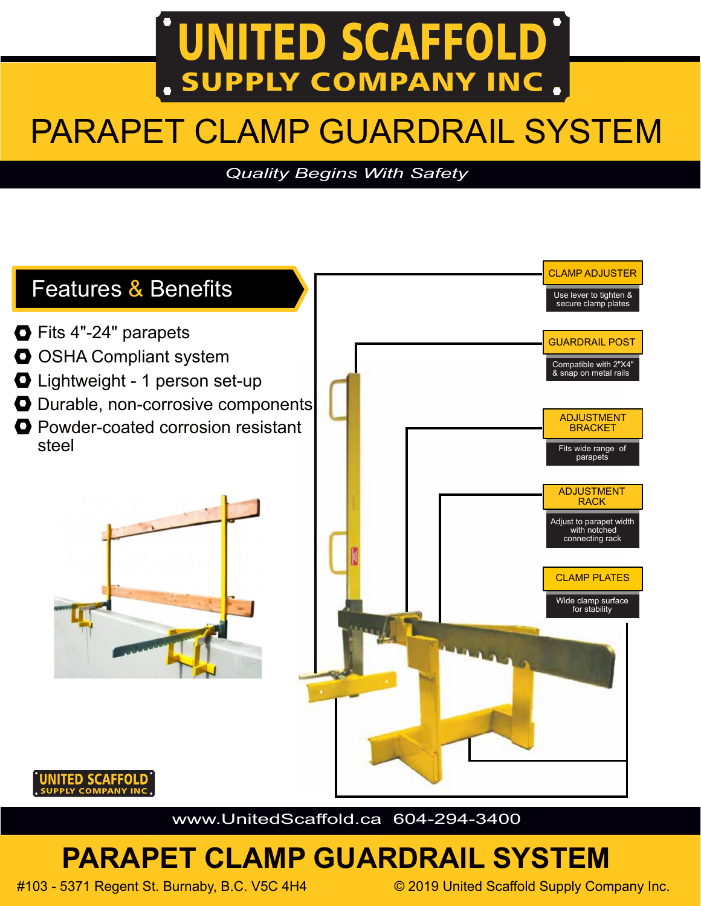# **UNITED SCAFFOLD** SUPPLY COMPANY INC.

# PARAPET CLAMP GUARDRAIL SYSTEM

#### *Quality Begins With Safety*



www.UnitedScaffold.ca 604-294-3400

## **PARAPET CLAMP GUARDRAIL SYSTEM**

#103 - 5371 Regent St. Burnaby, B.C. V5C 4H4 © 2019 United Scaffold Supply Company Inc.